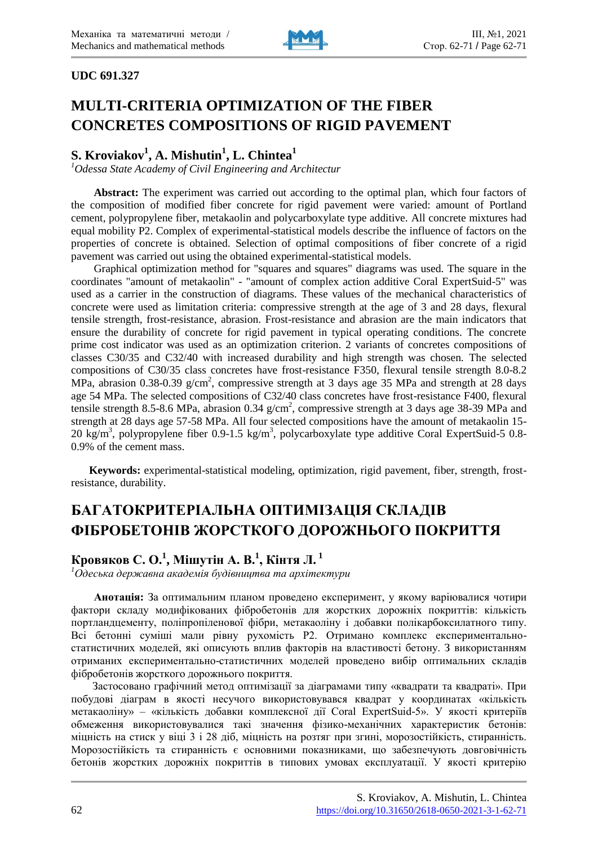

## **UDC 691.327**

# **MULTI-CRITERIA OPTIMIZATION OF THE FIBER CONCRETES COMPOSITIONS OF RIGID PAVEMENT**

# **S. Kroviakov<sup>1</sup> , A. Mishutin<sup>1</sup> , L. Chintea<sup>1</sup>**

*<sup>1</sup>Odessa State Academy of Civil Engineering and Architectur*

**Abstract:** The experiment was carried out according to the optimal plan, which four factors of the composition of modified fiber concrete for rigid pavement were varied: amount of Portland cement, polypropylene fiber, metakaolin and polycarboxylate type additive. All concrete mixtures had equal mobility P2. Complex of experimental-statistical models describe the influence of factors on the properties of concrete is obtained. Selection of optimal compositions of fiber concrete of a rigid pavement was carried out using the obtained experimental-statistical models.

Graphical optimization method for "squares and squares" diagrams was used. The square in the coordinates "amount of metakaolin" - "amount of complex action additive Coral ExpertSuid-5" was used as a carrier in the construction of diagrams. These values of the mechanical characteristics of concrete were used as limitation criteria: compressive strength at the age of 3 and 28 days, flexural tensile strength, frost-resistance, abrasion. Frost-resistance and abrasion are the main indicators that ensure the durability of concrete for rigid pavement in typical operating conditions. The concrete prime cost indicator was used as an optimization criterion. 2 variants of concretes compositions of classes C30/35 and C32/40 with increased durability and high strength was chosen. The selected compositions of C30/35 class concretes have frost-resistance F350, flexural tensile strength 8.0-8.2 MPa, abrasion 0.38-0.39  $g/cm^2$ , compressive strength at 3 days age 35 MPa and strength at 28 days age 54 MPa. The selected compositions of C32/40 class concretes have frost-resistance F400, flexural tensile strength 8.5-8.6 MPa, abrasion 0.34  $g/cm^2$ , compressive strength at 3 days age 38-39 MPa and strength at 28 days age 57-58 MPa. All four selected compositions have the amount of metakaolin 15- 20 kg/m<sup>3</sup>, polypropylene fiber 0.9-1.5 kg/m<sup>3</sup>, polycarboxylate type additive Coral ExpertSuid-5 0.8-0.9% of the cement mass.

**Keywords:** experimental-statistical modeling, optimization, rigid pavement, fiber, strength, frostresistance, durability.

# **БАГАТОКРИТЕРІАЛЬНА ОПТИМІЗАЦІЯ СКЛАДІВ ФІБРОБЕТОНІВ ЖОРСТКОГО ДОРОЖНЬОГО ПОКРИТТЯ**

# **Кровяков С. О.<sup>1</sup> , Мішутін А. В.<sup>1</sup> , Кінтя Л. <sup>1</sup>**

*<sup>1</sup>Одеська державна академія будівництва та архітектури*

**Анотація:** За оптимальним планом проведено експеримент, у якому варіювалися чотири фактори складу модифікованих фібробетонів для жорстких дорожніх покриттів: кількість портландцементу, поліпропіленової фібри, метакаоліну і добавки полікарбоксилатного типу. Всі бетонні суміші мали рівну рухомість Р2. Отримано комплекс експериментальностатистичних моделей, які описують вплив факторів на властивості бетону. З використанням отриманих експериментально-статистичних моделей проведено вибір оптимальних складів фібробетонів жорсткого дорожнього покриття.

Застосовано графічний метод оптимізації за діаграмами типу «квадрати та квадраті». При побудові діаграм в якості несучого використовувався квадрат у координатах «кількість метакаоліну» – «кількість добавки комплексної дії Coral ExpertSuid-5». У якості критеріїв обмеження використовувалися такі значення фізико-механічних характеристик бетонів: міцність на стиск у віці 3 і 28 діб, міцність на розтяг при згині, морозостійкість, стиранність. Морозостійкість та стиранність є основними показниками, що забезпечують довговічність бетонів жорстких дорожніх покриттів в типових умовах експлуатації. У якості критерію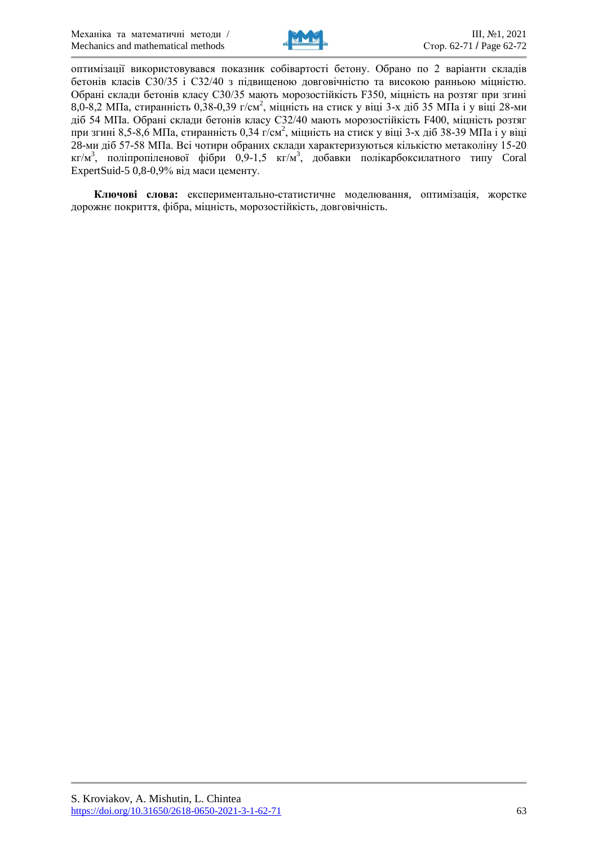

оптимізації використовувався показник собівартості бетону. Обрано по 2 варіанти складів бетонів класів С30/35 і С32/40 з підвищеною довговічністю та високою ранньою міцністю. Обрані склади бетонів класу С30/35 мають морозостійкість F350, міцність на розтяг при згині 8,0-8,2 МПа, стиранність 0,38-0,39 г/см<sup>2</sup>, міцність на стиск у віці 3-х діб 35 МПа і у віці 28-ми діб 54 МПа. Обрані склади бетонів класу С32/40 мають морозостійкість F400, міцність розтяг при згині 8,5-8,6 МПа, стиранність 0,34 г/см<sup>2</sup>, міцність на стиск у віці 3-х діб 38-39 МПа і у віці 28-ми діб 57-58 МПа. Всі чотири обраних склади характеризуються кількістю метаколіну 15-20 кг/м<sup>3</sup>, поліпропіленової фібри 0,9-1,5 кг/м<sup>3</sup>, добавки полікарбоксилатного типу Coral ExpertSuid-5 0,8-0,9% від маси цементу.

**Ключові слова:** експериментально-статистичне моделювання, оптимізація, жорстке дорожнє покриття, фібра, міцність, морозостійкість, довговічність.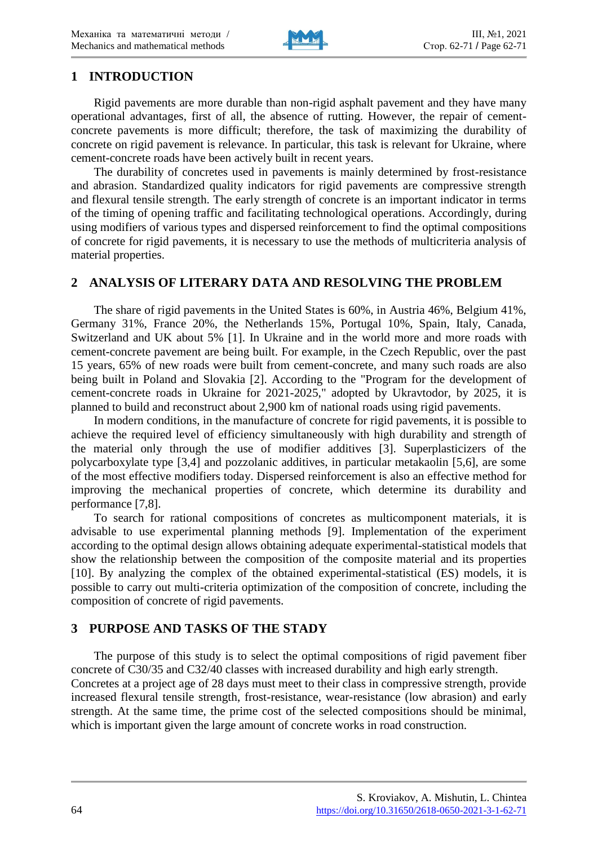

# **1 INTRODUCTION**

Rigid pavements are more durable than non-rigid asphalt pavement and they have many operational advantages, first of all, the absence of rutting. However, the repair of cementconcrete pavements is more difficult; therefore, the task of maximizing the durability of concrete on rigid pavement is relevance. In particular, this task is relevant for Ukraine, where cement-concrete roads have been actively built in recent years.

The durability of concretes used in pavements is mainly determined by frost-resistance and abrasion. Standardized quality indicators for rigid pavements are compressive strength and flexural tensile strength. The early strength of concrete is an important indicator in terms of the timing of opening traffic and facilitating technological operations. Accordingly, during using modifiers of various types and dispersed reinforcement to find the optimal compositions of concrete for rigid pavements, it is necessary to use the methods of multicriteria analysis of material properties.

# **2 ANALYSIS OF LITERARY DATA AND RESOLVING THE PROBLEM**

The share of rigid pavements in the United States is 60%, in Austria 46%, Belgium 41%, Germany 31%, France 20%, the Netherlands 15%, Portugal 10%, Spain, Italy, Canada, Switzerland and UK about 5% [1]. In Ukraine and in the world more and more roads with cement-concrete pavement are being built. For example, in the Czech Republic, over the past 15 years, 65% of new roads were built from cement-concrete, and many such roads are also being built in Poland and Slovakia [2]. According to the "Program for the development of cement-concrete roads in Ukraine for 2021-2025," adopted by Ukravtodor, by 2025, it is planned to build and reconstruct about 2,900 km of national roads using rigid pavements.

In modern conditions, in the manufacture of concrete for rigid pavements, it is possible to achieve the required level of efficiency simultaneously with high durability and strength of the material only through the use of modifier additives [3]. Superplasticizers of the polycarboxylate type [3,4] and pozzolanic additives, in particular metakaolin [5,6], are some of the most effective modifiers today. Dispersed reinforcement is also an effective method for improving the mechanical properties of concrete, which determine its durability and performance [7,8].

To search for rational compositions of concretes as multicomponent materials, it is advisable to use experimental planning methods [9]. Implementation of the experiment according to the optimal design allows obtaining adequate experimental-statistical models that show the relationship between the composition of the composite material and its properties [10]. By analyzing the complex of the obtained experimental-statistical (ES) models, it is possible to carry out multi-criteria optimization of the composition of concrete, including the composition of concrete of rigid pavements.

# **3 PURPOSE AND TASKS OF THE STADY**

The purpose of this study is to select the optimal compositions of rigid pavement fiber concrete of C30/35 and C32/40 classes with increased durability and high early strength. Concretes at a project age of 28 days must meet to their class in compressive strength, provide increased flexural tensile strength, frost-resistance, wear-resistance (low abrasion) and early strength. At the same time, the prime cost of the selected compositions should be minimal, which is important given the large amount of concrete works in road construction.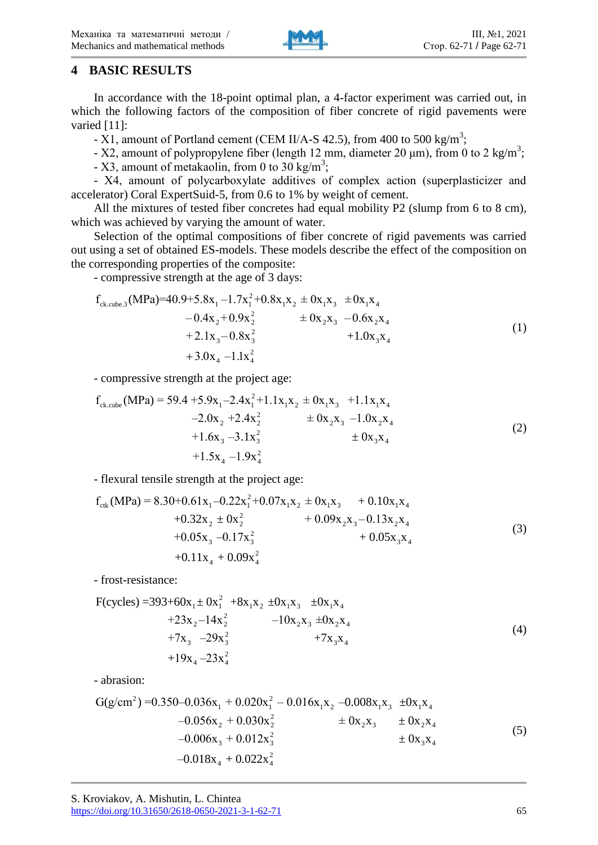

# **4 BASIC RESULTS**

In accordance with the 18-point optimal plan, a 4-factor experiment was carried out, in which the following factors of the composition of fiber concrete of rigid pavements were varied [11]:

- X1, amount of Portland cement (CEM II/A-S 42.5), from 400 to 500 kg/m<sup>3</sup>;

- X2, amount of polypropylene fiber (length 12 mm, diameter 20  $\mu$ m), from 0 to 2 kg/m<sup>3</sup>;

- X3, amount of metakaolin, from 0 to 30 kg/m<sup>3</sup>;

- Х4, amount of polycarboxylate additives of complex action (superplasticizer and accelerator) Coral ExpertSuid-5, from 0.6 to 1% by weight of cement.

All the mixtures of tested fiber concretes had equal mobility P2 (slump from 6 to 8 cm), which was achieved by varying the amount of water.

Selection of the optimal compositions of fiber concrete of rigid pavements was carried out using a set of obtained ES-models. These models describe the effect of the composition on the corresponding properties of the composite:

- compressive strength at the age of 3 days:

$$
f_{ck.cube.3}(MPa)=40.9+5.8x1-1.7x12+0.8x1x2 ± 0x1x3 ±0x1x4-0.4x2+0.9x22 ± 0x2x3 -0.6x2x4+2.1x3-0.8x32 +1.0x3x4
$$
\n(1)

- compressive strength at the project age:

$$
f_{ck.cube}(MPa) = 59.4 + 5.9x_1 - 2.4x_1^2 + 1.1x_1x_2 \pm 0x_1x_3 + 1.1x_1x_4
$$
  
\n
$$
-2.0x_2 + 2.4x_2^2 \pm 0x_2x_3 - 1.0x_2x_4
$$
  
\n
$$
+1.6x_3 - 3.1x_3^2 \pm 0x_3x_4
$$
  
\n
$$
+1.5x_4 - 1.9x_4^2
$$
\n(2)

- flexural tensile strength at the project age:

$$
f_{\text{ctk}}(\text{MPa}) = 8.30 + 0.61x_1 - 0.22x_1^2 + 0.07x_1x_2 + 0x_1x_3 + 0.10x_1x_4 + 0.32x_2 + 0x_2^2 + 0.09x_2x_3 - 0.13x_2x_4 + 0.05x_3 -0.17x_3^2 + 0.05x_3x_4 + 0.11x_4 + 0.09x_4^2
$$
\n(3)

- frost-resistance:

$$
F(cycles) = 393 + 60x_1 \pm 0x_1^2 + 8x_1x_2 \pm 0x_1x_3 \pm 0x_1x_4
$$
  
+23x<sub>2</sub>-14x<sub>2</sub><sup>2</sup> -10x<sub>2</sub>x<sub>3</sub> ±0x<sub>2</sub>x<sub>4</sub>  
+7x<sub>3</sub> -29x<sub>3</sub><sup>2</sup> +7x<sub>3</sub>x<sub>4</sub>  
+19x<sub>4</sub>-23x<sub>4</sub><sup>2</sup> (4)

- abrasion:

$$
G(g/cm2) = 0.350-0.036x1 + 0.020x12 - 0.016x1x2 -0.008x1x3 ±0x1x4-0.056x2 + 0.030x22 ± 0x2x3 ±0x2x4-0.006x3 + 0.012x32 ± 0x3x4 -0.018x4 + 0.022x42
$$
\n(5)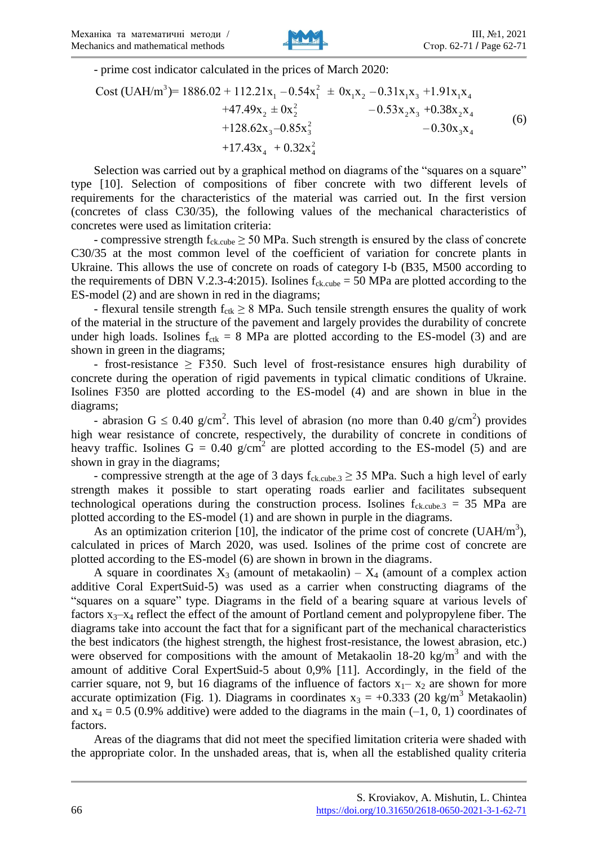

- prime cost indicator calculated in the prices of March 2020:

3 2 1 1 1 2 1 3 1 4 2 2 2 2 3 2 4 2 3 3 3 4 Cost UAH/m = 1886.02 + 112.21x – 0.54x ± 0x x – 0.31x x +1.91x x +47.49x ± 0x – 0.53x x +0.38x x +128.62x –0.85x ( ) – 0.30x x +17.43 <sup>2</sup> 4 4 x + 0.32x (6)

Selection was carried out by a graphical method on diagrams of the "squares on a square" type [10]. Selection of compositions of fiber concrete with two different levels of requirements for the characteristics of the material was carried out. In the first version (concretes of class C30/35), the following values of the mechanical characteristics of concretes were used as limitation criteria:

- compressive strength  $f_{ck.cube} \geq 50$  MPa. Such strength is ensured by the class of concrete C30/35 at the most common level of the coefficient of variation for concrete plants in Ukraine. This allows the use of concrete on roads of category I-b (B35, M500 according to the requirements of DBN V.2.3-4:2015). Isolines  $f_{ck, cube} = 50$  MPa are plotted according to the ES-model (2) and are shown in red in the diagrams;

- flexural tensile strength  $f_{\text{ctk}} \geq 8$  MPa. Such tensile strength ensures the quality of work of the material in the structure of the pavement and largely provides the durability of concrete under high loads. Isolines  $f_{\text{ctk}} = 8$  MPa are plotted according to the ES-model (3) and are shown in green in the diagrams;

- frost-resistance  $\geq$  F350. Such level of frost-resistance ensures high durability of concrete during the operation of rigid pavements in typical climatic conditions of Ukraine. Isolines F350 are plotted according to the ES-model (4) and are shown in blue in the diagrams;

- abrasion  $G \le 0.40$  g/cm<sup>2</sup>. This level of abrasion (no more than 0.40 g/cm<sup>2</sup>) provides high wear resistance of concrete, respectively, the durability of concrete in conditions of heavy traffic. Isolines  $G = 0.40$  g/cm<sup>2</sup> are plotted according to the ES-model (5) and are shown in gray in the diagrams;

- compressive strength at the age of 3 days  $f_{ck. cube, 3} \ge 35$  MPa. Such a high level of early strength makes it possible to start operating roads earlier and facilitates subsequent technological operations during the construction process. Isolines  $f_{ck, cube, 3} = 35$  MPa are plotted according to the ES-model (1) and are shown in purple in the diagrams.

As an optimization criterion [10], the indicator of the prime cost of concrete (UAH/m<sup>3</sup>), calculated in prices of March 2020, was used. Isolines of the prime cost of concrete are plotted according to the ES-model (6) are shown in brown in the diagrams.

A square in coordinates  $X_3$  (amount of metakaolin) –  $X_4$  (amount of a complex action additive Coral ExpertSuid-5) was used as a carrier when constructing diagrams of the "squares on a square" type. Diagrams in the field of a bearing square at various levels of factors  $x_3-x_4$  reflect the effect of the amount of Portland cement and polypropylene fiber. The diagrams take into account the fact that for a significant part of the mechanical characteristics the best indicators (the highest strength, the highest frost-resistance, the lowest abrasion, etc.) were observed for compositions with the amount of Metakaolin  $18-20$  kg/m<sup>3</sup> and with the amount of additive Coral ExpertSuid-5 about 0,9% [11]. Accordingly, in the field of the carrier square, not 9, but 16 diagrams of the influence of factors  $x_1 - x_2$  are shown for more accurate optimization (Fig. 1). Diagrams in coordinates  $x_3 = +0.333$  (20 kg/m<sup>3</sup> Metakaolin) and  $x_4 = 0.5$  (0.9% additive) were added to the diagrams in the main (-1, 0, 1) coordinates of factors.

Areas of the diagrams that did not meet the specified limitation criteria were shaded with the appropriate color. In the unshaded areas, that is, when all the established quality criteria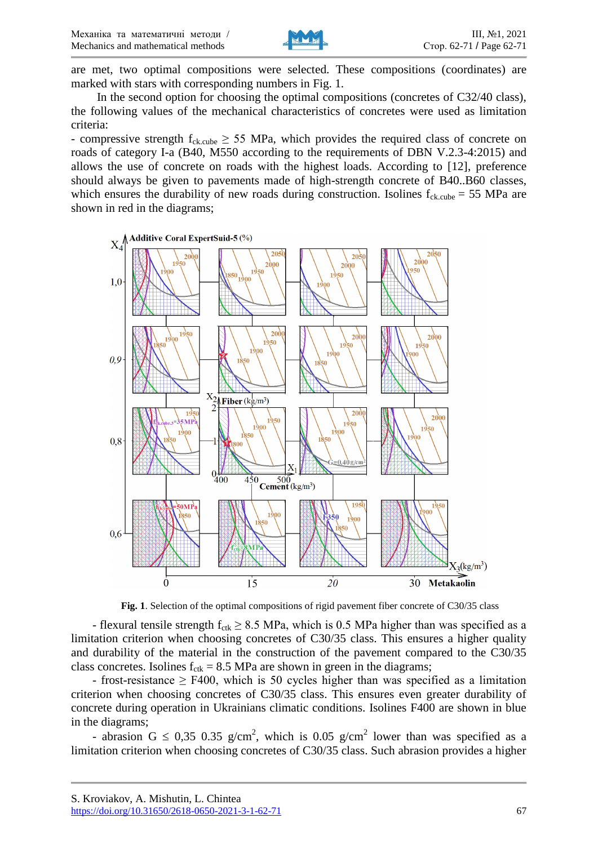

are met, two optimal compositions were selected. These compositions (coordinates) are marked with stars with corresponding numbers in Fig. 1.

In the second option for choosing the optimal compositions (concretes of C32/40 class), the following values of the mechanical characteristics of concretes were used as limitation criteria:

- compressive strength  $f_{ck. cube} \geq 55$  MPa, which provides the required class of concrete on roads of category I-a (B40, M550 according to the requirements of DBN V.2.3-4:2015) and allows the use of concrete on roads with the highest loads. According to [12], preference should always be given to pavements made of high-strength concrete of B40..B60 classes, which ensures the durability of new roads during construction. Isolines  $f_{ck, cube} = 55 \text{ MPa}$  are shown in red in the diagrams;



**Fig. 1**. Selection of the optimal compositions of rigid pavement fiber concrete of C30/35 class

- flexural tensile strength  $f_{\text{ctk}} \geq 8.5$  MPa, which is 0.5 MPa higher than was specified as a limitation criterion when choosing concretes of C30/35 class. This ensures a higher quality and durability of the material in the construction of the pavement compared to the C30/35 class concretes. Isolines  $f_{\text{ctk}} = 8.5$  MPa are shown in green in the diagrams;

- frost-resistance  $\geq$  F400, which is 50 cycles higher than was specified as a limitation criterion when choosing concretes of C30/35 class. This ensures even greater durability of concrete during operation in Ukrainians climatic conditions. Isolines F400 are shown in blue in the diagrams;

- abrasion G  $\leq$  0.35 0.35 g/cm<sup>2</sup>, which is 0.05 g/cm<sup>2</sup> lower than was specified as a limitation criterion when choosing concretes of C30/35 class. Such abrasion provides a higher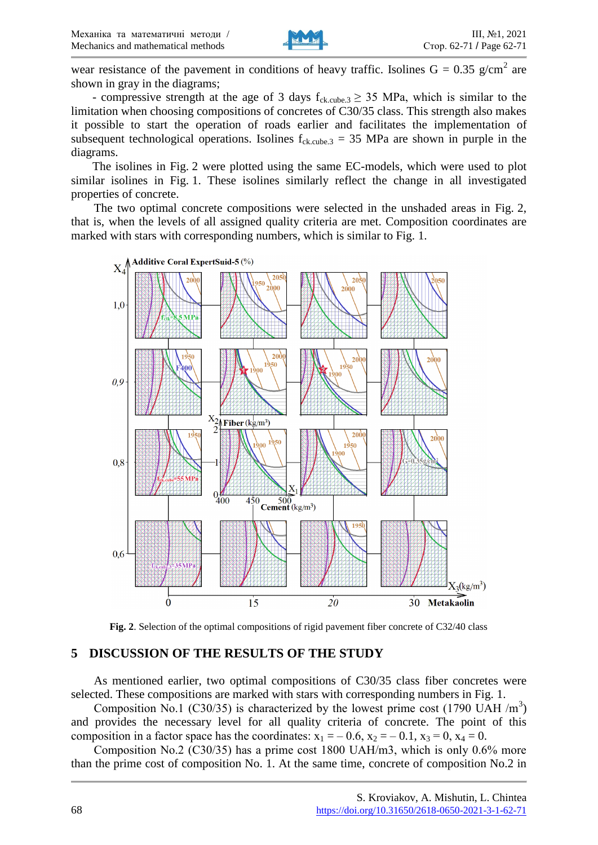

wear resistance of the pavement in conditions of heavy traffic. Isolines  $G = 0.35$  g/cm<sup>2</sup> are shown in gray in the diagrams;

- compressive strength at the age of 3 days  $f_{ck.cube.3} \geq 35$  MPa, which is similar to the limitation when choosing compositions of concretes of C30/35 class. This strength also makes it possible to start the operation of roads earlier and facilitates the implementation of subsequent technological operations. Isolines  $f_{ck. cube, 3} = 35$  MPa are shown in purple in the diagrams.

The isolines in Fig. 2 were plotted using the same EC-models, which were used to plot similar isolines in Fig. 1. These isolines similarly reflect the change in all investigated properties of concrete.

The two optimal concrete compositions were selected in the unshaded areas in Fig. 2, that is, when the levels of all assigned quality criteria are met. Composition coordinates are marked with stars with corresponding numbers, which is similar to Fig. 1.



**Fig. 2**. Selection of the optimal compositions of rigid pavement fiber concrete of C32/40 class

# **5 DISCUSSION OF THE RESULTS OF THE STUDY**

As mentioned earlier, two optimal compositions of C30/35 class fiber concretes were selected. These compositions are marked with stars with corresponding numbers in Fig. 1.

Composition No.1 (C30/35) is characterized by the lowest prime cost (1790 UAH /m<sup>3</sup>) and provides the necessary level for all quality criteria of concrete. The point of this composition in a factor space has the coordinates:  $x_1 = -0.6$ ,  $x_2 = -0.1$ ,  $x_3 = 0$ ,  $x_4 = 0$ .

Composition No.2 (С30/35) has a prime cost 1800 UAH/m3, which is only 0.6% more than the prime cost of composition No. 1. At the same time, concrete of composition No.2 in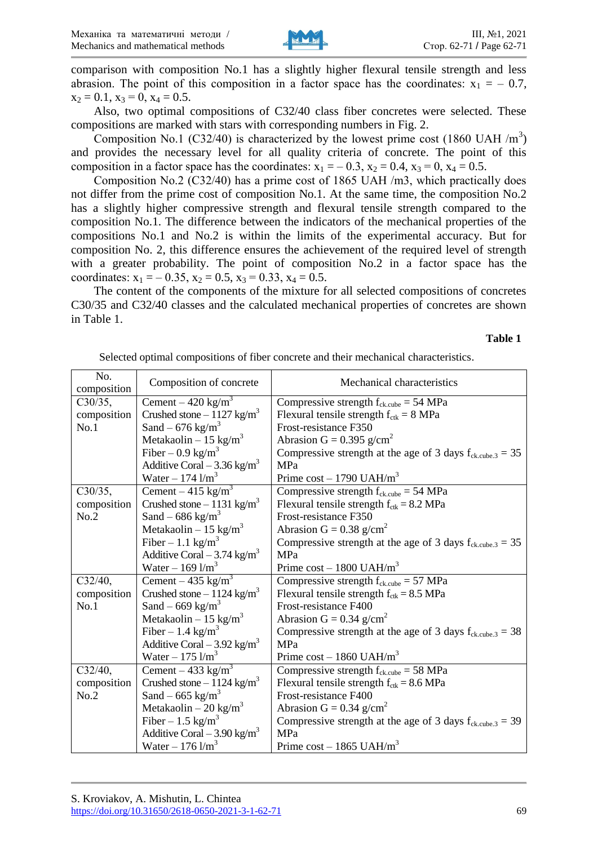

comparison with composition No.1 has a slightly higher flexural tensile strength and less abrasion. The point of this composition in a factor space has the coordinates:  $x_1 = -0.7$ ,  $x_2 = 0.1$ ,  $x_3 = 0$ ,  $x_4 = 0.5$ .

Also, two optimal compositions of C32/40 class fiber concretes were selected. These compositions are marked with stars with corresponding numbers in Fig. 2.

Composition No.1 (C32/40) is characterized by the lowest prime cost (1860 UAH  $/m<sup>3</sup>$ ) and provides the necessary level for all quality criteria of concrete. The point of this composition in a factor space has the coordinates:  $x_1 = -0.3$ ,  $x_2 = 0.4$ ,  $x_3 = 0$ ,  $x_4 = 0.5$ .

Composition No.2 (С32/40) has a prime cost of 1865 UAH /m3, which practically does not differ from the prime cost of composition No.1. At the same time, the composition No.2 has a slightly higher compressive strength and flexural tensile strength compared to the composition No.1. The difference between the indicators of the mechanical properties of the compositions No.1 and No.2 is within the limits of the experimental accuracy. But for composition No. 2, this difference ensures the achievement of the required level of strength with a greater probability. The point of composition No.2 in a factor space has the coordinates:  $x_1 = -0.35$ ,  $x_2 = 0.5$ ,  $x_3 = 0.33$ ,  $x_4 = 0.5$ .

The content of the components of the mixture for all selected compositions of concretes C30/35 and C32/40 classes and the calculated mechanical properties of concretes are shown in Table 1.

**Table 1**

| No.<br>composition | Composition of concrete                  | Mechanical characteristics                                       |
|--------------------|------------------------------------------|------------------------------------------------------------------|
| C30/35,            | Cement $-420$ kg/m <sup>3</sup>          | Compressive strength $f_{\text{ckcube}} = 54 \text{ MPa}$        |
| composition        | Crushed stone $-1127$ kg/m <sup>3</sup>  | Flexural tensile strength $f_{\rm ctk} = 8 \text{ MPa}$          |
| No.1               | Sand $-676$ kg/m <sup>3</sup>            | Frost-resistance F350                                            |
|                    | Metakaolin – 15 kg/m <sup>3</sup>        | Abrasion G = $0.395$ g/cm <sup>2</sup>                           |
|                    | Fiber – 0.9 kg/m <sup>3</sup>            | Compressive strength at the age of 3 days $f_{ck,cube,3} = 35$   |
|                    | Additive Coral $-3.36$ kg/m <sup>3</sup> | <b>MPa</b>                                                       |
|                    | Water – $174 \frac{\text{m}}{\text{s}}$  | Prime $cost - 1790$ UAH/m <sup>3</sup>                           |
| C30/35,            | Cement $-415$ kg/m <sup>3</sup>          | Compressive strength $f_{ck, cube} = 54 \text{ MPa}$             |
| composition        | Crushed stone – 1131 kg/m <sup>3</sup>   | Flexural tensile strength $f_{\text{ctk}} = 8.2 \text{ MPa}$     |
| No.2               | Sand $-686$ kg/m <sup>3</sup>            | Frost-resistance F350                                            |
|                    | Metakaolin – 15 kg/m <sup>3</sup>        | Abrasion G = $0.38$ g/cm <sup>2</sup>                            |
|                    | Fiber – 1.1 kg/m <sup>3</sup>            | Compressive strength at the age of 3 days $f_{ck,cube.3} = 35$   |
|                    | Additive Coral $-3.74 \text{ kg/m}^3$    | MPa                                                              |
|                    | Water – 169 $1/m^3$                      | Prime $cost - 1800$ UAH/m <sup>3</sup>                           |
| C32/40,            | Cement – 435 kg/m <sup>3</sup>           | Compressive strength $f_{ck,cube} = 57 MPa$                      |
| composition        | Crushed stone $-1124$ kg/m <sup>3</sup>  | Flexural tensile strength $f_{\text{ctk}} = 8.5 \text{ MPa}$     |
| No.1               | Sand $-669$ kg/m <sup>3</sup>            | Frost-resistance F400                                            |
|                    | Metakaolin – 15 kg/m <sup>3</sup>        | Abrasion G = $0.34$ g/cm <sup>2</sup>                            |
|                    | Fiber – 1.4 kg/m <sup>3</sup>            | Compressive strength at the age of 3 days $f_{ck,cube.3} = 38$   |
|                    | Additive Coral $-3.92$ kg/m <sup>3</sup> | <b>MPa</b>                                                       |
|                    | Water – 175 $1/m^3$                      | Prime $cost - 1860$ UAH/m <sup>3</sup>                           |
| C32/40,            | Cement – 433 kg/m <sup>3</sup>           | Compressive strength $f_{ck.cube} = 58 MPa$                      |
| composition        | Crushed stone $-1124$ kg/m <sup>3</sup>  | Flexural tensile strength $f_{\text{ctk}} = 8.6 \text{ MPa}$     |
| No.2               | Sand – 665 kg/m <sup>3</sup>             | Frost-resistance F400                                            |
|                    | Metakaolin – 20 kg/m <sup>3</sup>        | Abrasion G = $0.34$ g/cm <sup>2</sup>                            |
|                    | Fiber – 1.5 kg/m <sup>3</sup>            | Compressive strength at the age of 3 days $f_{ck, cube, 3} = 39$ |
|                    | Additive Coral $-3.90 \text{ kg/m}^3$    | MPa                                                              |
|                    | Water – $176 \frac{\text{m}}{\text{s}}$  | Prime $cost - 1865$ UAH/m <sup>3</sup>                           |

Selected optimal compositions of fiber concrete and their mechanical characteristics.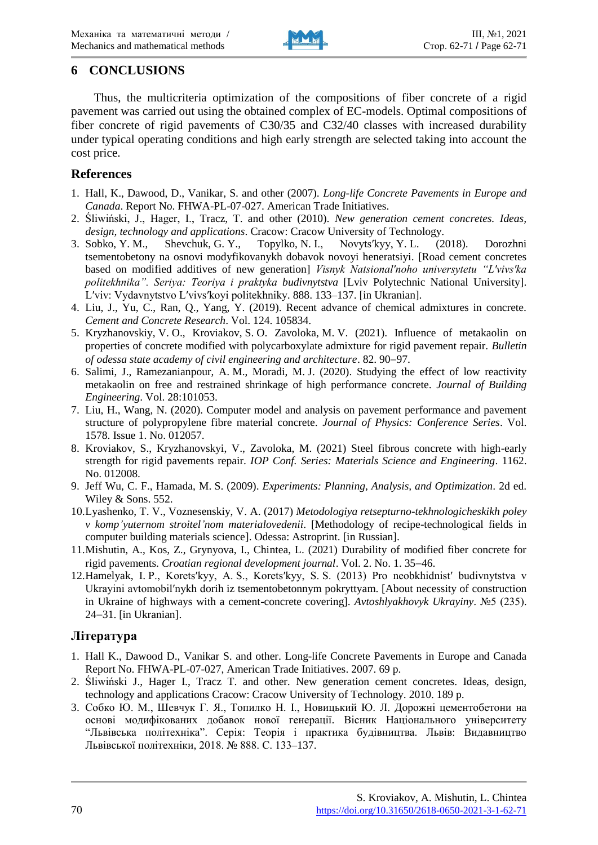

# **6 CONCLUSIONS**

Thus, the multicriteria optimization of the compositions of fiber concrete of a rigid pavement was carried out using the obtained complex of EC-models. Optimal compositions of fiber concrete of rigid pavements of C30/35 and C32/40 classes with increased durability under typical operating conditions and high early strength are selected taking into account the cost price.

# **References**

- 1. Hall, K., Dawood, D., Vanikar, S. and other (2007). *Long-life Concrete Pavements in Europe and Canada*. Report No. FHWA-PL-07-027. American Trade Initiatives.
- 2. Śliwiński, J., Hager, I., Tracz, T. and other (2010). *New generation cement concretes. Ideas, design, technology and applications*. Cracow: Cracow University of Technology.
- 3. Sobko, Y. M., Shevchuk, G. Y., Topylko, N. I., Novytsʹkyy, Y. L. (2018). Dorozhni tsementobetony na osnovi modyfikovanykh dobavok novoyi heneratsiyi. [Road cement concretes based on modified additives of new generation] *Visnyk Natsionalʹnoho universytetu "Lʹvivsʹka politekhnika". Seriya: Teoriya i praktyka budivnytstva* [Lviv Polytechnic National University]. Lʹviv: Vydavnytstvo Lʹvivsʹkoyi politekhniky. 888. 133–137. [in Ukranian].
- 4. Liu, J., Yu, C., Ran, Q., Yang, Y. (2019). Recent advance of chemical admixtures in concrete. *Cement and Concrete Research*. Vol. 124. 105834.
- 5. Kryzhanovskiy, V. O., Kroviakov, S. O. Zavoloka, M. V. (2021). Influence of metakaolin on properties of concrete modified with polycarboxylate admixture for rigid pavement repair. *Bulletin*  of odessa state academy of civil engineering and architecture. 82, 90–97.
- 6. Salimi, J., Ramezanianpour, A. M., Moradi, M. J. (2020). Studying the effect of low reactivity metakaolin on free and restrained shrinkage of high performance concrete. *Journal of Building Engineering*. Vol. 28:101053.
- 7. Liu, H., Wang, N. (2020). Computer model and analysis on pavement performance and pavement structure of polypropylene fibre material concrete. *Journal of Physics: Conference Series*. Vol. 1578. Issue 1. No. 012057.
- 8. Kroviakov, S., Kryzhanovskyi, V., Zavoloka, M. (2021) Steel fibrous concrete with high-early strength for rigid pavements repair. *IOP Conf. Series: Materials Science and Engineering*. 1162. No. 012008.
- 9. Jeff Wu, C. F., Hamada, M. S. (2009). *Experiments: Planning, Analysis, and Optimization*. 2d ed. Wiley & Sons. 552.
- 10.Lyashenko, T. V., Voznesenskiy, V. A. (2017) *Metodologiya retsepturno-tekhnologicheskikh poley v komp'yuternom stroitel'nom materialovedenii*. [Methodology of recipe-technological fields in computer building materials science]. Odessa: Astroprint. [in Russian].
- 11.Mishutin, A., Kos, Z., Grynyova, I., Chintea, L. (2021) Durability of modified fiber concrete for rigid pavements. *Croatian regional development journal*. Vol. 2. No. 1. 35-46.
- 12.Hamelyak, I. P., Koretsʹkyy, A. S., Koretsʹkyy, S. S. (2013) Pro neobkhidnistʹ budivnytstva v Ukrayini avtomobilʹnykh dorih iz tsementobetonnym pokryttyam. [About necessity of construction in Ukraine of highways with a cement-concrete covering]. *Avtoshlyakhovyk Ukrayiny*. №5 (235). 24-31. [in Ukranian].

# **Література**

- 1. Hall K., Dawood D., Vanikar S. and other. Long-life Concrete Pavements in Europe and Canada Report No. FHWA-PL-07-027, American Trade Initiatives. 2007. 69 p.
- 2. Śliwiński J., Hager I., Tracz T. and other. New generation cement concretes. Ideas, design, technology and applications Cracow: Cracow University of Technology. 2010. 189 p.
- 3. Собко Ю. М., Шевчук Г. Я., Топилко Н. І., Новицький Ю. Л. Дорожні цементобетони на основі модифікованих добавок нової генерації. Вісник Національного університету "Львівська політехніка". Серія: Теорія і практика будівництва. Львів: Видавництво Львівської політехніки, 2018. № 888. С. 133-137.